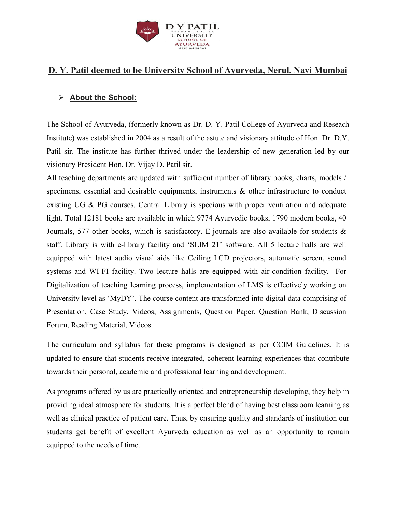

## **D. Y. Patil deemed to be University School of Ayurveda, Nerul, Navi Mumbai**

#### **About the School:**

The School of Ayurveda, (formerly known as Dr. D. Y. Patil College of Ayurveda and Reseach Institute) was established in 2004 as a result of the astute and visionary attitude of Hon. Dr. D.Y. Patil sir. The institute has further thrived under the leadership of new generation led by our visionary President Hon. Dr. Vijay D. Patil sir.

All teaching departments are updated with sufficient number of library books, charts, models / specimens, essential and desirable equipments, instruments & other infrastructure to conduct existing UG & PG courses. Central Library is specious with proper ventilation and adequate light. Total 12181 books are available in which 9774 Ayurvedic books, 1790 modern books, 40 Journals, 577 other books, which is satisfactory. E-journals are also available for students & staff. Library is with e-library facility and 'SLIM 21' software. All 5 lecture halls are well equipped with latest audio visual aids like Ceiling LCD projectors, automatic screen, sound systems and WI-FI facility. Two lecture halls are equipped with air-condition facility. For Digitalization of teaching learning process, implementation of LMS is effectively working on University level as 'MyDY'. The course content are transformed into digital data comprising of Presentation, Case Study, Videos, Assignments, Question Paper, Question Bank, Discussion Forum, Reading Material, Videos.

The curriculum and syllabus for these programs is designed as per CCIM Guidelines. It is updated to ensure that students receive integrated, coherent learning experiences that contribute towards their personal, academic and professional learning and development.

As programs offered by us are practically oriented and entrepreneurship developing, they help in providing ideal atmosphere for students. It is a perfect blend of having best classroom learning as well as clinical practice of patient care. Thus, by ensuring quality and standards of institution our students get benefit of excellent Ayurveda education as well as an opportunity to remain equipped to the needs of time.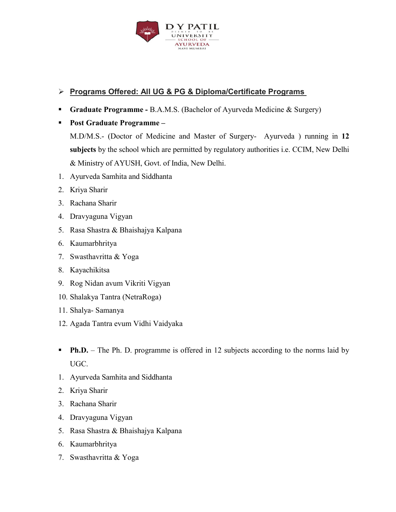

#### **Programs Offered: All UG & PG & Diploma/Certificate Programs**

- **Graduate Programme B.A.M.S. (Bachelor of Ayurveda Medicine & Surgery)**
- **Post Graduate Programme**

M.D/M.S.- (Doctor of Medicine and Master of Surgery- Ayurveda ) running in **12 subjects** by the school which are permitted by regulatory authorities i.e. CCIM, New Delhi & Ministry of AYUSH, Govt. of India, New Delhi.

- 1. Ayurveda Samhita and Siddhanta
- 2. Kriya Sharir
- 3. Rachana Sharir
- 4. Dravyaguna Vigyan
- 5. Rasa Shastra & Bhaishajya Kalpana
- 6. Kaumarbhritya
- 7. Swasthavritta & Yoga
- 8. Kayachikitsa
- 9. Rog Nidan avum Vikriti Vigyan
- 10. Shalakya Tantra (NetraRoga)
- 11. Shalya- Samanya
- 12. Agada Tantra evum Vidhi Vaidyaka
- **Ph.D.** The Ph. D. programme is offered in 12 subjects according to the norms laid by UGC.
- 1. Ayurveda Samhita and Siddhanta
- 2. Kriya Sharir
- 3. Rachana Sharir
- 4. Dravyaguna Vigyan
- 5. Rasa Shastra & Bhaishajya Kalpana
- 6. Kaumarbhritya
- 7. Swasthavritta & Yoga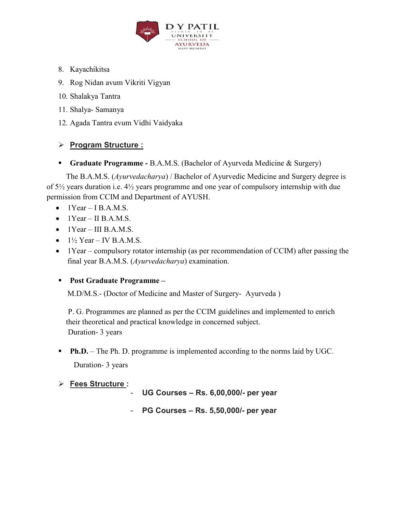

- 8. Kayachikitsa
- 9. Rog Nidan avum Vikriti Vigyan
- 10. Shalakya Tantra
- 11. Shalya- Samanya
- 12. Agada Tantra evum Vidhi Vaidyaka

#### **Program Structure :**

**Graduate Programme -** B.A.M.S. (Bachelor of Ayurveda Medicine & Surgery)

 The B.A.M.S. (*Ayurvedacharya*) / Bachelor of Ayurvedic Medicine and Surgery degree is of 5½ years duration i.e. 4½ years programme and one year of compulsory internship with due permission from CCIM and Department of AYUSH.

- $\bullet$  1 Year I B.A.M.S.
- $\bullet$  1 Year II B.A.M.S.
- $\bullet$  1Year III B.A.M.S.
- $\bullet$  1½ Year IV B.A.M.S.
- 1Year compulsory rotator internship (as per recommendation of CCIM) after passing the final year B.A.M.S. (*Ayurvedacharya*) examination.

#### **Post Graduate Programme –**

M.D/M.S.- (Doctor of Medicine and Master of Surgery- Ayurveda )

 P. G. Programmes are planned as per the CCIM guidelines and implemented to enrich their theoretical and practical knowledge in concerned subject. Duration- 3 years

- **Ph.D.** The Ph. D. programme is implemented according to the norms laid by UGC. Duration- 3 years
- **Fees Structure :**
- **UG Courses Rs. 6,00,000/- per year**
- **PG Courses Rs. 5,50,000/- per year**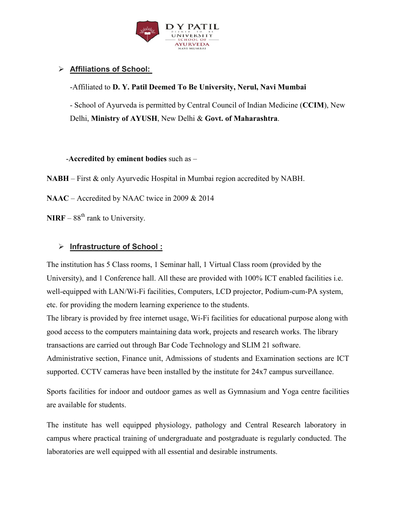

## **Affiliations of School:**

-Affiliated to **D. Y. Patil Deemed To Be University, Nerul, Navi Mumbai**

- School of Ayurveda is permitted by Central Council of Indian Medicine (**CCIM**), New Delhi, **Ministry of AYUSH**, New Delhi & **Govt. of Maharashtra**.

-**Accredited by eminent bodies** such as –

**NABH** – First & only Ayurvedic Hospital in Mumbai region accredited by NABH.

**NAAC** – Accredited by NAAC twice in 2009 & 2014

**NIRF** –  $88<sup>th</sup>$  rank to University.

#### **Infrastructure of School :**

The institution has 5 Class rooms, 1 Seminar hall, 1 Virtual Class room (provided by the University), and 1 Conference hall. All these are provided with 100% ICT enabled facilities i.e. well-equipped with LAN/Wi-Fi facilities, Computers, LCD projector, Podium-cum-PA system, etc. for providing the modern learning experience to the students.

The library is provided by free internet usage, Wi-Fi facilities for educational purpose along with good access to the computers maintaining data work, projects and research works. The library transactions are carried out through Bar Code Technology and SLIM 21 software.

Administrative section, Finance unit, Admissions of students and Examination sections are ICT supported. CCTV cameras have been installed by the institute for 24x7 campus surveillance.

Sports facilities for indoor and outdoor games as well as Gymnasium and Yoga centre facilities are available for students.

The institute has well equipped physiology, pathology and Central Research laboratory in campus where practical training of undergraduate and postgraduate is regularly conducted. The laboratories are well equipped with all essential and desirable instruments.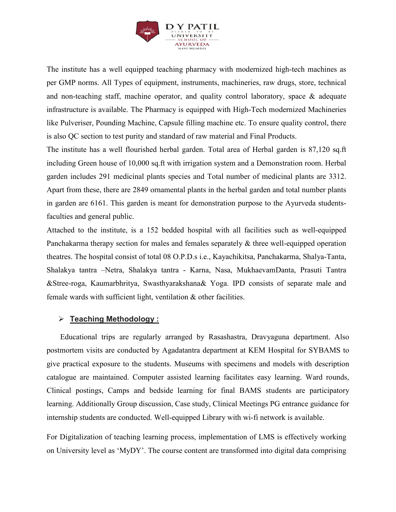

The institute has a well equipped teaching pharmacy with modernized high-tech machines as per GMP norms. All Types of equipment, instruments, machineries, raw drugs, store, technical and non-teaching staff, machine operator, and quality control laboratory, space & adequate infrastructure is available. The Pharmacy is equipped with High-Tech modernized Machineries like Pulveriser, Pounding Machine, Capsule filling machine etc. To ensure quality control, there is also QC section to test purity and standard of raw material and Final Products.

The institute has a well flourished herbal garden. Total area of Herbal garden is 87,120 sq.ft including Green house of 10,000 sq.ft with irrigation system and a Demonstration room. Herbal garden includes 291 medicinal plants species and Total number of medicinal plants are 3312. Apart from these, there are 2849 ornamental plants in the herbal garden and total number plants in garden are 6161. This garden is meant for demonstration purpose to the Ayurveda studentsfaculties and general public.

Attached to the institute, is a 152 bedded hospital with all facilities such as well-equipped Panchakarma therapy section for males and females separately & three well-equipped operation theatres. The hospital consist of total 08 O.P.D.s i.e., Kayachikitsa, Panchakarma, Shalya-Tanta, Shalakya tantra –Netra, Shalakya tantra - Karna, Nasa, MukhaevamDanta, Prasuti Tantra &Stree-roga, Kaumarbhritya, Swasthyarakshana& Yoga. IPD consists of separate male and female wards with sufficient light, ventilation & other facilities.

#### **Teaching Methodology :**

 Educational trips are regularly arranged by Rasashastra, Dravyaguna department. Also postmortem visits are conducted by Agadatantra department at KEM Hospital for SYBAMS to give practical exposure to the students. Museums with specimens and models with description catalogue are maintained. Computer assisted learning facilitates easy learning. Ward rounds, Clinical postings, Camps and bedside learning for final BAMS students are participatory learning. Additionally Group discussion, Case study, Clinical Meetings PG entrance guidance for internship students are conducted. Well-equipped Library with wi-fi network is available.

For Digitalization of teaching learning process, implementation of LMS is effectively working on University level as 'MyDY'. The course content are transformed into digital data comprising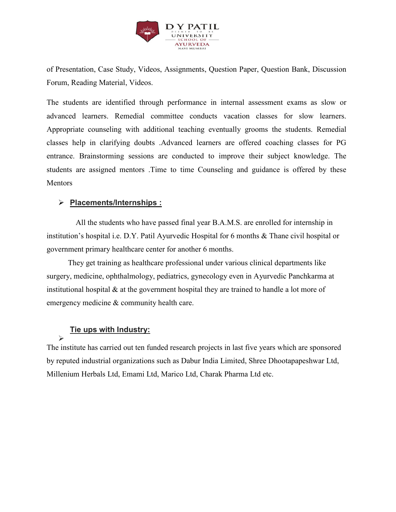

of Presentation, Case Study, Videos, Assignments, Question Paper, Question Bank, Discussion Forum, Reading Material, Videos.

The students are identified through performance in internal assessment exams as slow or advanced learners. Remedial committee conducts vacation classes for slow learners. Appropriate counseling with additional teaching eventually grooms the students. Remedial classes help in clarifying doubts .Advanced learners are offered coaching classes for PG entrance. Brainstorming sessions are conducted to improve their subject knowledge. The students are assigned mentors .Time to time Counseling and guidance is offered by these **Mentors** 

#### **Placements/Internships :**

 All the students who have passed final year B.A.M.S. are enrolled for internship in institution's hospital i.e. D.Y. Patil Ayurvedic Hospital for 6 months & Thane civil hospital or government primary healthcare center for another 6 months.

 They get training as healthcare professional under various clinical departments like surgery, medicine, ophthalmology, pediatrics, gynecology even in Ayurvedic Panchkarma at institutional hospital & at the government hospital they are trained to handle a lot more of emergency medicine & community health care.

#### **Tie ups with Industry:**

 $\blacktriangleright$ 

The institute has carried out ten funded research projects in last five years which are sponsored by reputed industrial organizations such as Dabur India Limited, Shree Dhootapapeshwar Ltd, Millenium Herbals Ltd, Emami Ltd, Marico Ltd, Charak Pharma Ltd etc.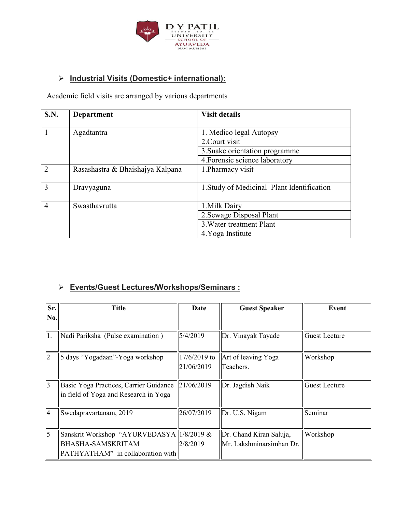

## **Industrial Visits (Domestic+ international):**

Academic field visits are arranged by various departments

| <b>S.N.</b>    | <b>Department</b>                | <b>Visit details</b>                       |
|----------------|----------------------------------|--------------------------------------------|
|                | Agadtantra                       | 1. Medico legal Autopsy                    |
|                |                                  | 2. Court visit                             |
|                |                                  | 3. Snake orientation programme             |
|                |                                  | 4. Forensic science laboratory             |
| $\overline{2}$ | Rasashastra & Bhaishajya Kalpana | 1. Pharmacy visit                          |
| $\mathcal{R}$  | Dravyaguna                       | 1. Study of Medicinal Plant Identification |
| $\overline{4}$ | Swasthavrutta                    | 1. Milk Dairy                              |
|                |                                  | 2. Sewage Disposal Plant                   |
|                |                                  | 3. Water treatment Plant                   |
|                |                                  | 4. Yoga Institute                          |

## **Events/Guest Lectures/Workshops/Seminars :**

| Sr.            | <b>Title</b>                                                                                                | Date                       | <b>Guest Speaker</b>                                | Event                 |
|----------------|-------------------------------------------------------------------------------------------------------------|----------------------------|-----------------------------------------------------|-----------------------|
| No.            |                                                                                                             |                            |                                                     |                       |
| 11.            | Nadi Pariksha (Pulse examination)                                                                           | 5/4/2019                   | Dr. Vinayak Tayade                                  | <b>IGuest Lecture</b> |
| 2              | days "Yogadaan"-Yoga workshop                                                                               | 17/6/2019 to<br>21/06/2019 | Art of leaving Yoga<br>Teachers.                    | Workshop              |
| $\overline{3}$ | Basic Yoga Practices, Carrier Guidance<br>in field of Yoga and Research in Yoga                             | 21/06/2019                 | Dr. Jagdish Naik                                    | Guest Lecture         |
| 14             | Swedapravartanam, 2019                                                                                      | 26/07/2019                 | Dr. U.S. Nigam                                      | <b>Seminar</b>        |
| $\overline{5}$ | Sanskrit Workshop "AYURVEDASYA  1/8/2019 &<br><b>BHASHA-SAMSKRITAM</b><br>PATHYATHAM" in collaboration with | 2/8/2019                   | Dr. Chand Kiran Saluja,<br>Mr. Lakshminarsimhan Dr. | Workshop              |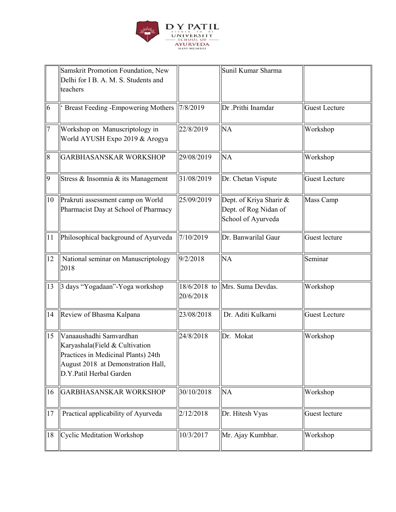

|                | Samskrit Promotion Foundation, New<br>Delhi for I B. A. M. S. Students and<br>teachers                                                                            |            | Sunil Kumar Sharma                                                     |                      |
|----------------|-------------------------------------------------------------------------------------------------------------------------------------------------------------------|------------|------------------------------------------------------------------------|----------------------|
| $\overline{6}$ | <b>Breast Feeding -Empowering Mothers</b>                                                                                                                         | 7/8/2019   | Dr .Prithi Inamdar                                                     | <b>Guest Lecture</b> |
| 7              | Workshop on Manuscriptology in<br>World AYUSH Expo 2019 & Arogya                                                                                                  | 22/8/2019  | <b>NA</b>                                                              | Workshop             |
| $\overline{8}$ | <b>GARBHASANSKAR WORKSHOP</b>                                                                                                                                     | 29/08/2019 | <b>NA</b>                                                              | Workshop             |
| 9              | Stress & Insomnia & its Management                                                                                                                                | 31/08/2019 | Dr. Chetan Vispute                                                     | <b>Guest Lecture</b> |
| 10             | Prakruti assessment camp on World<br>Pharmacist Day at School of Pharmacy                                                                                         | 25/09/2019 | Dept. of Kriya Sharir &<br>Dept. of Rog Nidan of<br>School of Ayurveda | Mass Camp            |
| $\vert$ 11     | Philosophical background of Ayurveda                                                                                                                              | 7/10/2019  | Dr. Banwarilal Gaur                                                    | Guest lecture        |
| 12             | National seminar on Manuscriptology<br>2018                                                                                                                       | 9/2/2018   | <b>NA</b>                                                              | Seminar              |
| 13             | 3 days "Yogadaan"-Yoga workshop                                                                                                                                   | 20/6/2018  | 18/6/2018 to Mrs. Suma Devdas.                                         | Workshop             |
| 14             | Review of Bhasma Kalpana                                                                                                                                          | 23/08/2018 | Dr. Aditi Kulkarni                                                     | <b>Guest Lecture</b> |
| 15             | Vanaaushadhi Samvardhan<br>Karyashala(Field & Cultivation<br>Practices in Medicinal Plants) 24th<br>August 2018 at Demonstration Hall,<br>D.Y.Patil Herbal Garden | 24/8/2018  | Dr. Mokat                                                              | Workshop             |
| 16             | <b>GARBHASANSKAR WORKSHOP</b>                                                                                                                                     | 30/10/2018 | NA                                                                     | Workshop             |
| 17             | Practical applicability of Ayurveda                                                                                                                               | 2/12/2018  | Dr. Hitesh Vyas                                                        | Guest lecture        |
| 18             | Cyclic Meditation Workshop                                                                                                                                        | 10/3/2017  | Mr. Ajay Kumbhar.                                                      | Workshop             |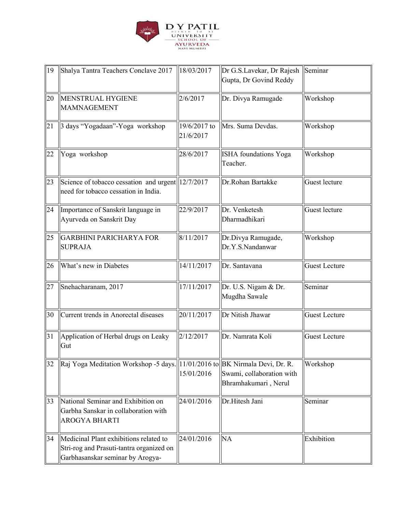

| $\vert$ 19 | Shalya Tantra Teachers Conclave 2017                                                                                   | 18/03/2017                | Dr G.S.Lavekar, Dr Rajesh<br>Gupta, Dr Govind Reddy | Seminar              |
|------------|------------------------------------------------------------------------------------------------------------------------|---------------------------|-----------------------------------------------------|----------------------|
| 20         | <b>MENSTRUAL HYGIENE</b><br><b>MAMNAGEMENT</b>                                                                         | 2/6/2017                  | Dr. Divya Ramugade                                  | Workshop             |
| 21         | 3 days "Yogadaan"-Yoga workshop                                                                                        | 19/6/2017 to<br>21/6/2017 | Mrs. Suma Devdas.                                   | Workshop             |
| 22         | Yoga workshop                                                                                                          | 28/6/2017                 | <b>ISHA</b> foundations Yoga<br>Teacher.            | Workshop             |
| 23         | Science of tobacco cessation and urgent 12/7/2017<br>need for tobacco cessation in India.                              |                           | Dr.Rohan Bartakke                                   | Guest lecture        |
| 24         | Importance of Sanskrit language in<br>Ayurveda on Sanskrit Day                                                         | 22/9/2017                 | Dr. Venketesh<br>Dharmadhikari                      | Guest lecture        |
| 25         | <b>GARBHINI PARICHARYA FOR</b><br><b>SUPRAJA</b>                                                                       | 8/11/2017                 | Dr.Divya Ramugade,<br>Dr.Y.S.Nandanwar              | Workshop             |
| 26         | What's new in Diabetes                                                                                                 | 14/11/2017                | Dr. Santavana                                       | <b>Guest Lecture</b> |
| 27         | Snehacharanam, 2017                                                                                                    | 17/11/2017                | Dr. U.S. Nigam & Dr.<br>Mugdha Sawale               | Seminar              |
| 30         | Current trends in Anorectal diseases                                                                                   | 20/11/2017                | Dr Nitish Jhawar                                    | <b>Guest Lecture</b> |
| 31         | Application of Herbal drugs on Leaky<br>Gut                                                                            | 2/12/2017                 | Dr. Namrata Koli                                    | <b>Guest Lecture</b> |
| 32         | Raj Yoga Meditation Workshop -5 days. 11/01/2016 to BK Nirmala Devi, Dr. R.                                            | 15/01/2016                | Swami, collaboration with<br>Bhramhakumari, Nerul   | Workshop             |
| 33         | National Seminar and Exhibition on<br>Garbha Sanskar in collaboration with<br><b>AROGYA BHARTI</b>                     | 24/01/2016                | Dr.Hitesh Jani                                      | Seminar              |
| 34         | Medicinal Plant exhibitions related to<br>Stri-rog and Prasuti-tantra organized on<br>Garbhasanskar seminar by Arogya- | 24/01/2016                | <b>NA</b>                                           | Exhibition           |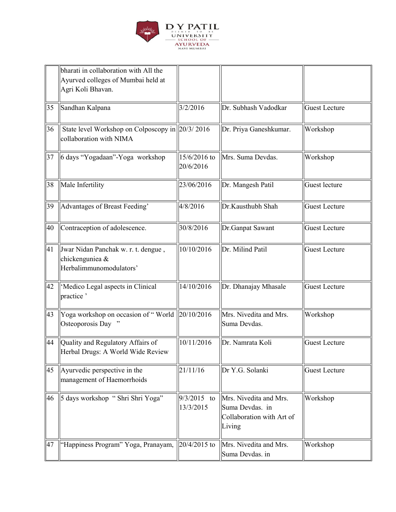

|    | bharati in collaboration with All the<br>Ayurved colleges of Mumbai held at<br>Agri Koli Bhavan. |                            |                                                                                  |                      |
|----|--------------------------------------------------------------------------------------------------|----------------------------|----------------------------------------------------------------------------------|----------------------|
| 35 | Sandhan Kalpana                                                                                  | 3/2/2016                   | Dr. Subhash Vadodkar                                                             | <b>Guest Lecture</b> |
| 36 | State level Workshop on Colposcopy in 20/3/2016<br>collaboration with NIMA                       |                            | Dr. Priya Ganeshkumar.                                                           | Workshop             |
| 37 | 6 days "Yogadaan"-Yoga workshop                                                                  | 15/6/2016 to<br>20/6/2016  | Mrs. Suma Devdas.                                                                | Workshop             |
| 38 | Male Infertility                                                                                 | 23/06/2016                 | Dr. Mangesh Patil                                                                | Guest lecture        |
| 39 | Advantages of Breast Feeding'                                                                    | 4/8/2016                   | Dr.Kausthubh Shah                                                                | <b>Guest Lecture</b> |
| 40 | Contraception of adolescence.                                                                    | 30/8/2016                  | Dr.Ganpat Sawant                                                                 | <b>Guest Lecture</b> |
| 41 | Jwar Nidan Panchak w. r. t. dengue,<br>chickenguniea &<br>Herbalimmunomodulators'                | 10/10/2016                 | Dr. Milind Patil                                                                 | <b>Guest Lecture</b> |
| 42 | 'Medico Legal aspects in Clinical<br>practice '                                                  | 14/10/2016                 | Dr. Dhanajay Mhasale                                                             | <b>Guest Lecture</b> |
| 43 | Yoga workshop on occasion of "World $\ 20/10/2016\ $<br>Osteoporosis Day "                       |                            | Mrs. Nivedita and Mrs.<br>Suma Devdas.                                           | Workshop             |
| 44 | Quality and Regulatory Affairs of<br>Herbal Drugs: A World Wide Review                           | 10/11/2016                 | Dr. Namrata Koli                                                                 | <b>Guest Lecture</b> |
| 45 | Ayurvedic perspective in the<br>management of Haemorrhoids                                       | 21/11/16                   | Dr Y.G. Solanki                                                                  | <b>Guest Lecture</b> |
| 46 | 5 days workshop "Shri Shri Yoga"                                                                 | $9/3/2015$ to<br>13/3/2015 | Mrs. Nivedita and Mrs.<br>Suma Devdas. in<br>Collaboration with Art of<br>Living | Workshop             |
| 47 | "Happiness Program" Yoga, Pranayam,                                                              | $ 20/4/2015$ to            | Mrs. Nivedita and Mrs.<br>Suma Devdas. in                                        | Workshop             |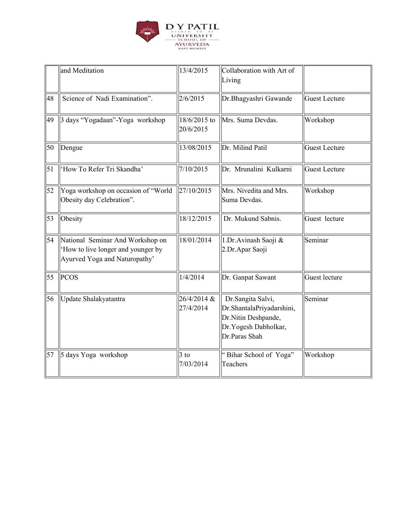

|            | and Meditation                                                                                         | 13/4/2015                 | Collaboration with Art of<br>Living                                                                             |                      |
|------------|--------------------------------------------------------------------------------------------------------|---------------------------|-----------------------------------------------------------------------------------------------------------------|----------------------|
| 48         | Science of Nadi Examination".                                                                          | 2/6/2015                  | Dr.Bhagyashri Gawande                                                                                           | <b>Guest Lecture</b> |
| 49         | 3 days "Yogadaan"-Yoga workshop                                                                        | 18/6/2015 to<br>20/6/2015 | Mrs. Suma Devdas.                                                                                               | Workshop             |
| 50         | Dengue                                                                                                 | 13/08/2015                | Dr. Milind Patil                                                                                                | <b>Guest Lecture</b> |
| $\vert$ 51 | 'How To Refer Tri Skandha'                                                                             | 7/10/2015                 | Dr. Mrunalini Kulkarni                                                                                          | <b>Guest Lecture</b> |
| 52         | Yoga workshop on occasion of "World<br>Obesity day Celebration".                                       | 27/10/2015                | Mrs. Nivedita and Mrs.<br>Suma Devdas.                                                                          | Workshop             |
| 53         | Obesity                                                                                                | 18/12/2015                | Dr. Mukund Sabnis.                                                                                              | Guest lecture        |
| 54         | National Seminar And Workshop on<br>How to live longer and younger by<br>Ayurved Yoga and Naturopathy' | 18/01/2014                | 1.Dr.Avinash Saoji &<br>2.Dr.Apar Saoji                                                                         | Seminar              |
| 55         | PCOS                                                                                                   | 1/4/2014                  | Dr. Ganpat Sawant                                                                                               | Guest lecture        |
| 56         | Update Shalakyatantra                                                                                  | 26/4/2014 &<br>27/4/2014  | Dr.Sangita Salvi,<br>Dr.ShantalaPriyadarshini,<br>Dr.Nitin Deshpande,<br>Dr. Yogesh Dabholkar,<br>Dr.Paras Shah | Seminar              |
| 57         | 5 days Yoga workshop                                                                                   | $3$ to<br>7/03/2014       | "Bihar School of Yoga"<br>Teachers                                                                              | Workshop             |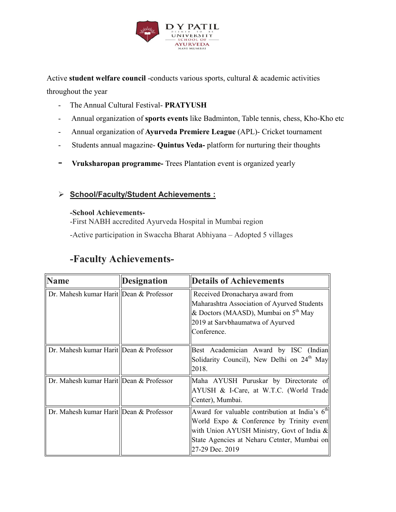

Active **student welfare council** -conducts various sports, cultural & academic activities throughout the year

- The Annual Cultural Festival- **PRATYUSH**
- Annual organization of **sports events** like Badminton, Table tennis, chess, Kho-Kho etc
- Annual organization of **Ayurveda Premiere League** (APL)- Cricket tournament
- Students annual magazine- **Quintus Veda-** platform for nurturing their thoughts
- **Vruksharopan programme-** Trees Plantation event is organized yearly

#### **School/Faculty/Student Achievements :**

#### **-School Achievements-**

-First NABH accredited Ayurveda Hospital in Mumbai region

-Active participation in Swaccha Bharat Abhiyana – Adopted 5 villages

## **-Faculty Achievements-**

| <b>Name</b>                               | <b>Designation</b> | <b>Details of Achievements</b>                                                                                                                                                                               |
|-------------------------------------------|--------------------|--------------------------------------------------------------------------------------------------------------------------------------------------------------------------------------------------------------|
| Dr. Mahesh kumar Harit Dean & Professor   |                    | Received Dronacharya award from<br>Maharashtra Association of Ayurved Students<br>& Doctors (MAASD), Mumbai on 5 <sup>th</sup> May<br>2019 at Sarvbhaumatwa of Ayurved<br>Conference.                        |
| Dr. Mahesh kumar Harit   Dean & Professor |                    | Best Academician Award by ISC (Indian<br>Solidarity Council), New Delhi on 24 <sup>th</sup> May<br>2018.                                                                                                     |
| Dr. Mahesh kumar Harit Dean & Professor   |                    | Maha AYUSH Puruskar by Directorate of<br>AYUSH & I-Care, at W.T.C. (World Trade<br>Center), Mumbai.                                                                                                          |
| Dr. Mahesh kumar Harit Dean & Professor   |                    | Award for valuable contribution at India's $6th$<br>World Expo & Conference by Trinity event<br>with Union AYUSH Ministry, Govt of India &<br>State Agencies at Neharu Cetnter, Mumbai on<br>27-29 Dec. 2019 |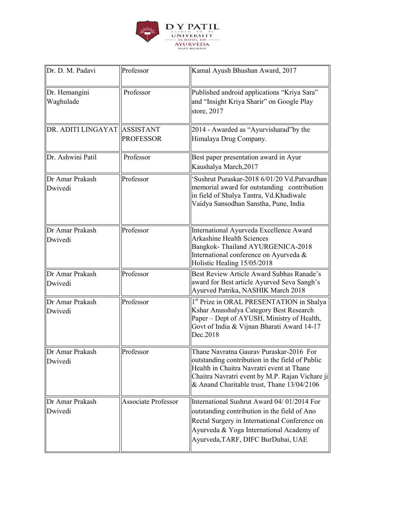

| Dr. D. M. Padavi             | Professor                  | Kamal Ayush Bhushan Award, 2017                                                                                                                                                                                                          |
|------------------------------|----------------------------|------------------------------------------------------------------------------------------------------------------------------------------------------------------------------------------------------------------------------------------|
| Dr. Hemangini<br>Waghulade   | Professor                  | Published android applications "Kriya Sara"<br>and "Insight Kriya Sharir" on Google Play<br>store, 2017                                                                                                                                  |
| DR. ADITI LINGAYAT ASSISTANT | <b>PROFESSOR</b>           | 2014 - Awarded as "Ayurvisharad" by the<br>Himalaya Drug Company.                                                                                                                                                                        |
| Dr. Ashwini Patil            | Professor                  | Best paper presentation award in Ayur<br>Kaushalya March, 2017                                                                                                                                                                           |
| Dr Amar Prakash<br>Dwivedi   | Professor                  | 'Sushrut Puraskar-2018 6/01/20 Vd.Patvardhan<br>memorial award for outstanding contribution<br>in field of Shalya Tantra, Vd.Khadiwale<br>Vaidya Sansodhan Sanstha, Pune, India                                                          |
| Dr Amar Prakash<br>Dwivedi   | Professor                  | International Ayurveda Excellence Award<br><b>Arkashine Health Sciences</b><br>Bangkok-Thailand AYURGENICA-2018<br>International conference on Ayurveda &<br>Holistic Healing 15/05/2018                                                 |
| Dr Amar Prakash<br>Dwivedi   | Professor                  | Best Review Article Award Subhas Ranade's<br>award for Best article Ayurved Seva Sangh's<br>Ayurved Patrika, NASHIK March 2018                                                                                                           |
| Dr Amar Prakash<br>Dwivedi   | Professor                  | 1 <sup>st</sup> Prize in ORAL PRESENTATION in Shalya<br>Kshar Anusshalya Category Best Research<br>Paper - Dept of AYUSH, Ministry of Health,<br>Govt of India & Vijnan Bharati Award 14-17<br>Dec.2018                                  |
| Dr Amar Prakash<br>Dwivedi   | Professor                  | Thane Navratna Gauray Puraskar-2016 For<br>outstanding contribution in the field of Public<br>Health in Chaitra Navratri event at Thane<br>Chaitra Navratri event by M.P. Rajan Vichare ji<br>& Anand Charitable trust, Thane 13/04/2106 |
| Dr Amar Prakash<br>Dwivedi   | <b>Associate Professor</b> | International Sushrut Award 04/01/2014 For<br>outstanding contribution in the field of Ano<br>Rectal Surgery in International Conference on<br>Ayurveda & Yoga International Academy of<br>Ayurveda, TARF, DIFC BurDubai, UAE            |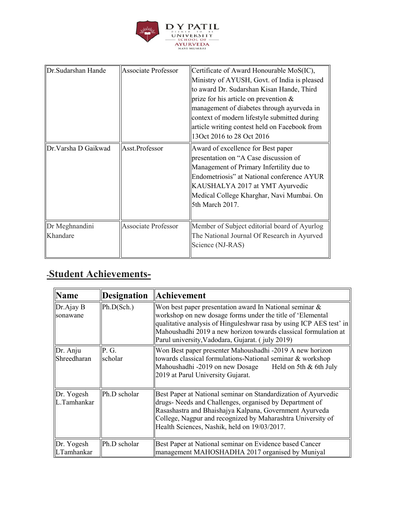

| <b>IDr.Sudarshan Hande</b> | <b>Associate Professor</b> | Certificate of Award Honourable MoS(IC),<br>Ministry of AYUSH, Govt. of India is pleased<br>to award Dr. Sudarshan Kisan Hande, Third<br>prize for his article on prevention $\&$<br>management of diabetes through ayurveda in<br>context of modern lifestyle submitted during<br>article writing contest held on Facebook from<br>130 ct 2016 to 28 Oct 2016 |
|----------------------------|----------------------------|----------------------------------------------------------------------------------------------------------------------------------------------------------------------------------------------------------------------------------------------------------------------------------------------------------------------------------------------------------------|
| Dr.Varsha D Gaikwad        | Asst.Professor             | Award of excellence for Best paper<br>presentation on "A Case discussion of<br>Management of Primary Infertility due to<br>Endometriosis" at National conference AYUR<br>KAUSHALYA 2017 at YMT Ayurvedic<br>Medical College Kharghar, Navi Mumbai. On<br>5th March 2017.                                                                                       |
| Dr Meghnandini<br>Khandare | <b>Associate Professor</b> | Member of Subject editorial board of Ayurlog<br>The National Journal Of Research in Ayurved<br>Science (NJ-RAS)                                                                                                                                                                                                                                                |

# **-Student Achievements-**

| <b>Name</b>               | <b>Designation</b> | Achievement                                                                                                                                                                                                                                                                                                              |
|---------------------------|--------------------|--------------------------------------------------------------------------------------------------------------------------------------------------------------------------------------------------------------------------------------------------------------------------------------------------------------------------|
| Dr.Ajay B<br>sonawane     | Ph.D(Sch.)         | Won best paper presentation award In National seminar $\&$<br>workshop on new dosage forms under the title of 'Elemental<br>  qualitative analysis of Hinguleshwar rasa by using ICP AES test' in<br>Mahoushadhi 2019 a new horizon towards classical formulation at<br>Parul university, Vadodara, Gujarat. (july 2019) |
| Dr. Anju<br>Shreedharan   | P. G.<br>scholar   | Won Best paper presenter Mahoushadhi -2019 A new horizon<br>towards classical formulations-National seminar & workshop<br>Mahoushadhi -2019 on new Dosage Held on 5th & 6th July<br>2019 at Parul University Gujarat.                                                                                                    |
| Dr. Yogesh<br>L.Tamhankar | Ph.D scholar       | Best Paper at National seminar on Standardization of Ayurvedic<br>drugs- Needs and Challenges, organised by Department of<br>Rasashastra and Bhaishajya Kalpana, Government Ayurveda<br>College, Nagpur and recognized by Maharashtra University of<br>Health Sciences, Nashik, held on 19/03/2017.                      |
| Dr. Yogesh<br>LTamhankar  | Ph.D scholar       | Best Paper at National seminar on Evidence based Cancer<br>management MAHOSHADHA 2017 organised by Muniyal                                                                                                                                                                                                               |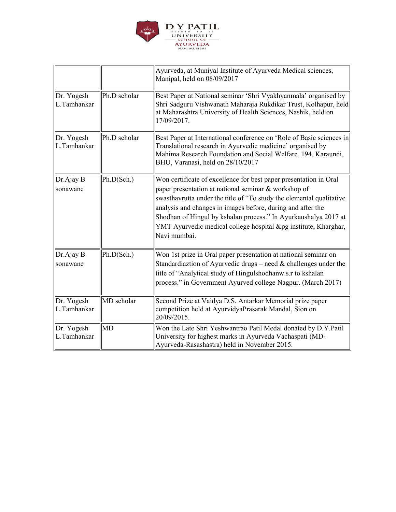

|                           |              | Ayurveda, at Muniyal Institute of Ayurveda Medical sciences,<br>Manipal, held on 08/09/2017                                                                                                                                                                                                                                                                                                                            |
|---------------------------|--------------|------------------------------------------------------------------------------------------------------------------------------------------------------------------------------------------------------------------------------------------------------------------------------------------------------------------------------------------------------------------------------------------------------------------------|
| Dr. Yogesh<br>L.Tamhankar | Ph.D scholar | Best Paper at National seminar 'Shri Vyakhyanmala' organised by<br>Shri Sadguru Vishwanath Maharaja Rukdikar Trust, Kolhapur, held<br>at Maharashtra University of Health Sciences, Nashik, held on<br>17/09/2017.                                                                                                                                                                                                     |
| Dr. Yogesh<br>L.Tamhankar | Ph.D scholar | Best Paper at International conference on 'Role of Basic sciences in<br>Translational research in Ayurvedic medicine' organised by<br>Mahima Research Foundation and Social Welfare, 194, Karaundi,<br>BHU, Varanasi, held on 28/10/2017                                                                                                                                                                               |
| Dr.Ajay B<br>sonawane     | Ph.D(Sch.)   | Won certificate of excellence for best paper presentation in Oral<br>paper presentation at national seminar & workshop of<br>swasthavrutta under the title of "To study the elemental qualitative<br>analysis and changes in images before, during and after the<br>Shodhan of Hingul by kshalan process." In Ayurkaushalya 2017 at<br>YMT Ayurvedic medical college hospital &pg institute, Kharghar,<br>Navi mumbai. |
| Dr.Ajay B<br>sonawane     | Ph.D(Sch.)   | Won 1st prize in Oral paper presentation at national seminar on<br>Standardiaztion of Ayurvedic drugs – need $&$ challenges under the<br>title of "Analytical study of Hingulshodhanw.s.r to kshalan<br>process." in Government Ayurved college Nagpur. (March 2017)                                                                                                                                                   |
| Dr. Yogesh<br>L.Tamhankar | MD scholar   | Second Prize at Vaidya D.S. Antarkar Memorial prize paper<br>competition held at AyurvidyaPrasarak Mandal, Sion on<br>20/09/2015.                                                                                                                                                                                                                                                                                      |
| Dr. Yogesh<br>L.Tamhankar | <b>MD</b>    | Won the Late Shri Yeshwantrao Patil Medal donated by D.Y.Patil<br>University for highest marks in Ayurveda Vachaspati (MD-<br>Ayurveda-Rasashastra) held in November 2015.                                                                                                                                                                                                                                             |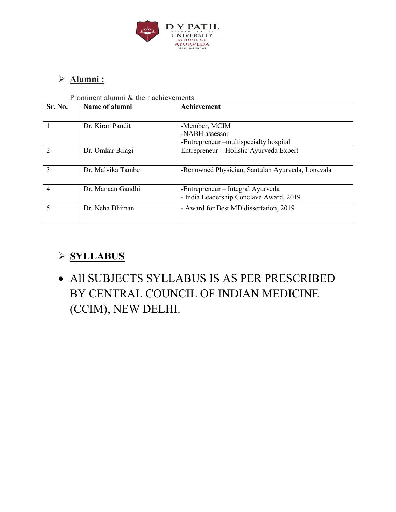

## **Alumni :**

Prominent alumni & their achievements

| Sr. No.        | Name of alumni    | Achievement                                      |
|----------------|-------------------|--------------------------------------------------|
|                |                   |                                                  |
|                | Dr. Kiran Pandit  | -Member, MCIM                                    |
|                |                   | -NABH assessor                                   |
|                |                   | -Entrepreneur –multispecialty hospital           |
| $\overline{2}$ | Dr. Omkar Bilagi  | Entrepreneur – Holistic Ayurveda Expert          |
| $\mathcal{E}$  | Dr. Malvika Tambe | -Renowned Physician, Santulan Ayurveda, Lonavala |
| 4              | Dr. Manaan Gandhi | -Entrepreneur – Integral Ayurveda                |
|                |                   | - India Leadership Conclave Award, 2019          |
| $\varsigma$    | Dr. Neha Dhiman   | - Award for Best MD dissertation, 2019           |

# **SYLLABUS**

 All SUBJECTS SYLLABUS IS AS PER PRESCRIBED BY CENTRAL COUNCIL OF INDIAN MEDICINE (CCIM), NEW DELHI.